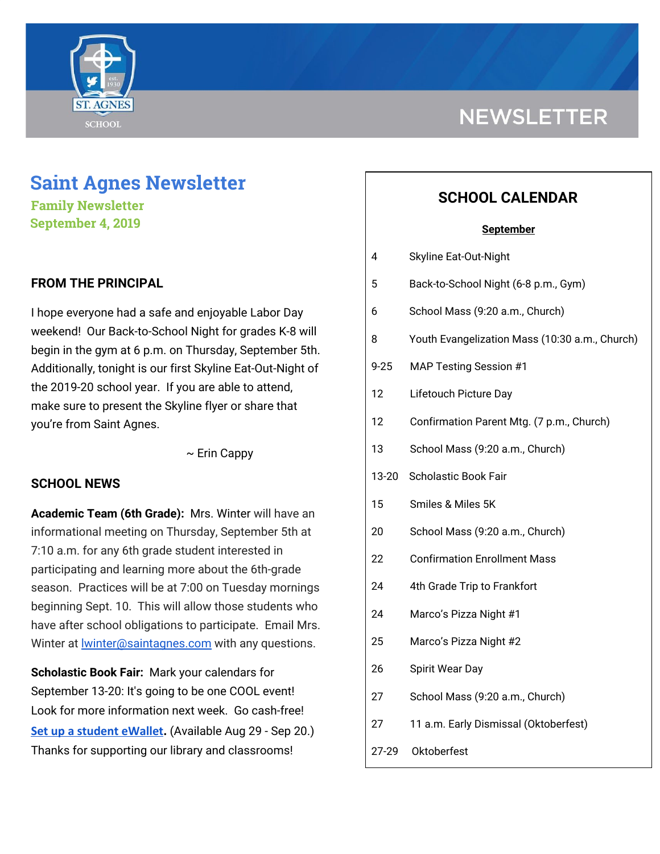

# **Saint Agnes Newsletter**

**Family Newsletter September 4, 2019**

### **FROM THE PRINCIPAL**

I hope everyone had a safe and enjoyable Labor Day weekend! Our Back-to-School Night for grades K-8 will begin in the gym at 6 p.m. on Thursday, September 5th. Additionally, tonight is our first Skyline Eat-Out-Night of the 2019-20 school year. If you are able to attend, make sure to present the Skyline flyer or share that you're from Saint Agnes.

 $\sim$  Erin Cappy

#### **SCHOOL NEWS**

**Academic Team (6th Grade):** Mrs. Winter will have an informational meeting on Thursday, September 5th at 7:10 a.m. for any 6th grade student interested in participating and learning more about the 6th-grade season. Practices will be at 7:00 on Tuesday mornings beginning Sept. 10. This will allow those students who have after school obligations to participate. Email Mrs. Winter at **Winter@saintagnes.com** with any questions.

**Scholastic Book Fair:** Mark your calendars for September 13-20: It's going to be one COOL event! Look for more information next week. Go cash-free! **[Set up a student eWallet.](https://bookfairs.scholastic.com/bf/stagnesschool9)** (Available Aug 29 - Sep 20.) Thanks for supporting our library and classrooms!

# **NEWSLETTER**

# **SCHOOL CALENDAR**

#### **September**

| 4        | <b>Skyline Eat-Out-Night</b>                   |
|----------|------------------------------------------------|
| 5        | Back-to-School Night (6-8 p.m., Gym)           |
| 6        | School Mass (9:20 a.m., Church)                |
| 8        | Youth Evangelization Mass (10:30 a.m., Church) |
| $9 - 25$ | <b>MAP Testing Session #1</b>                  |
| 12       | Lifetouch Picture Day                          |
| 12       | Confirmation Parent Mtg. (7 p.m., Church)      |
| 13       | School Mass (9:20 a.m., Church)                |
| 13-20    | Scholastic Book Fair                           |
| 15       | Smiles & Miles 5K                              |
| 20       | School Mass (9:20 a.m., Church)                |
| 22       | <b>Confirmation Enrollment Mass</b>            |
| 24       | 4th Grade Trip to Frankfort                    |
| 24       | Marco's Pizza Night #1                         |
| 25       | Marco's Pizza Night #2                         |
| 26       | Spirit Wear Day                                |
| 27       | School Mass (9:20 a.m., Church)                |
| 27       | 11 a.m. Early Dismissal (Oktoberfest)          |

27-29 Oktoberfest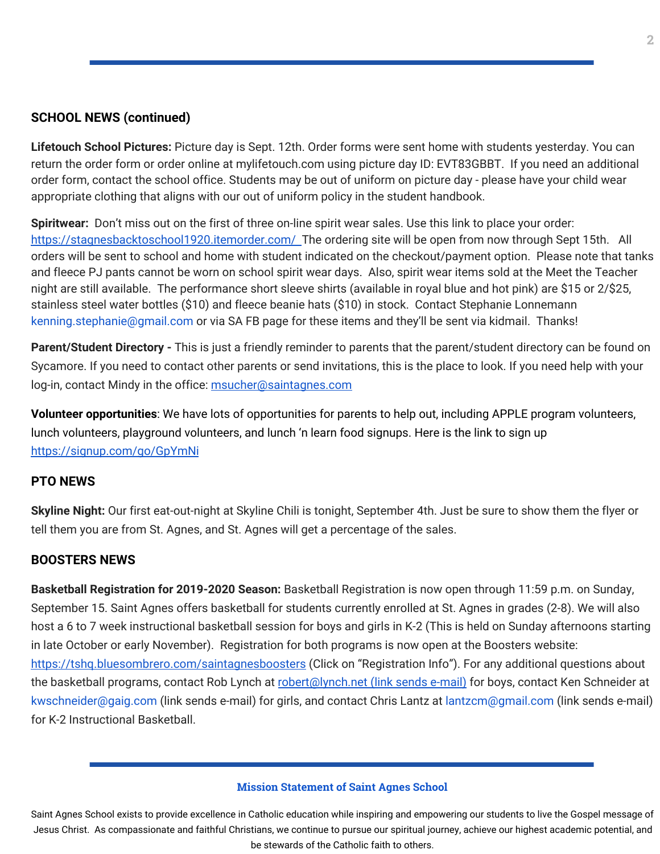#### **SCHOOL NEWS (continued)**

**Lifetouch School Pictures:** Picture day is Sept. 12th. Order forms were sent home with students yesterday. You can return the order form or order online at mylifetouch.com using picture day ID: EVT83GBBT. If you need an additional order form, contact the school office. Students may be out of uniform on picture day - please have your child wear appropriate clothing that aligns with our out of uniform policy in the student handbook.

**Spiritwear:** Don't miss out on the first of three on-line spirit wear sales. Use this link to place your order: <https://stagnesbacktoschool1920.itemorder.com/> The ordering site will be open from now through Sept 15th. All orders will be sent to school and home with student indicated on the checkout/payment option. Please note that tanks and fleece PJ pants cannot be worn on school spirit wear days. Also, spirit wear items sold at the Meet the Teacher night are still available. The performance short sleeve shirts (available in royal blue and hot pink) are \$15 or 2/\$25, stainless steel water bottles (\$10) and fleece beanie hats (\$10) in stock. Contact Stephanie Lonnemann kenning.stephanie@gmail.com or via SA FB page for these items and they'll be sent via kidmail. Thanks!

**Parent/Student Directory -** This is just a friendly reminder to parents that the parent/student directory can be found on Sycamore. If you need to contact other parents or send invitations, this is the place to look. If you need help with your log-in, contact Mindy in the office: [msucher@saintagnes.com](mailto:msucher@saintagnes.com)

**Volunteer opportunities**: We have lots of opportunities for parents to help out, including APPLE program volunteers, lunch volunteers, playground volunteers, and lunch 'n learn food signups. Here is the link to sign up <https://signup.com/go/GpYmNi>

#### **PTO NEWS**

**Skyline Night:** Our first eat-out-night at Skyline Chili is tonight, September 4th. Just be sure to show them the flyer or tell them you are from St. Agnes, and St. Agnes will get a percentage of the sales.

#### **BOOSTERS NEWS**

**Basketball Registration for 2019-2020 Season:** Basketball Registration is now open through 11:59 p.m. on Sunday, September 15. Saint Agnes offers basketball for students currently enrolled at St. Agnes in grades (2-8). We will also host a 6 to 7 week instructional basketball session for boys and girls in K-2 (This is held on Sunday afternoons starting in late October or early November). Registration for both programs is now open at the Boosters website: <https://tshq.bluesombrero.com/saintagnesboosters> (Click on "Registration Info"). For any additional questions about the basketball programs, contact Rob Lynch at robert@lynch.net (link sends e-mail) for boys, contact Ken Schneider at kwschneider@gaig.com (link sends e-mail) for girls, and contact Chris Lantz at lantzcm@gmail.com (link sends e-mail) for K-2 Instructional Basketball.

#### **Mission Statement of Saint Agnes School**

Saint Agnes School exists to provide excellence in Catholic education while inspiring and empowering our students to live the Gospel message of Jesus Christ. As compassionate and faithful Christians, we continue to pursue our spiritual journey, achieve our highest academic potential, and be stewards of the Catholic faith to others.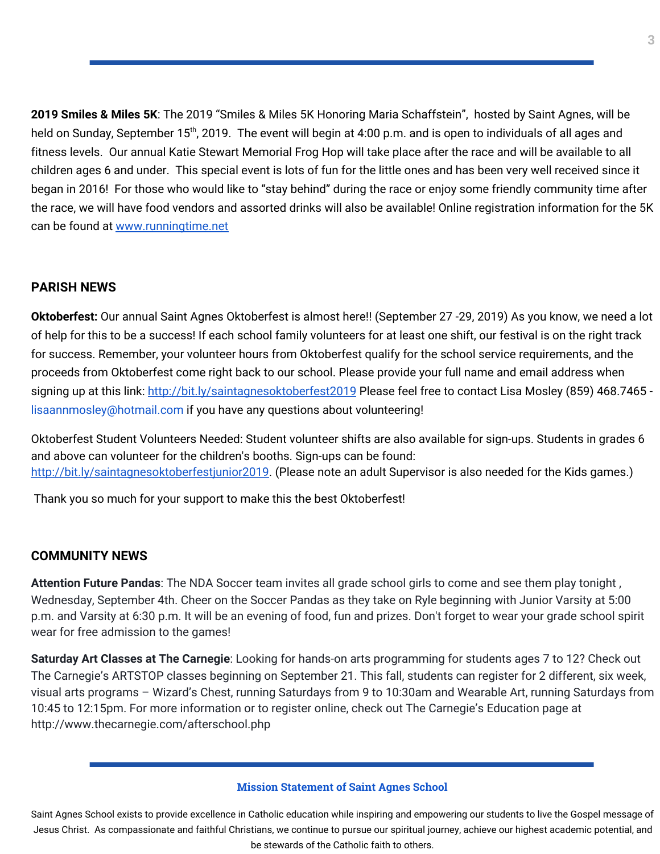**2019 Smiles & Miles 5K**: The 2019 "Smiles & Miles 5K Honoring Maria Schaffstein", hosted by Saint Agnes, will be held on Sunday, September 15<sup>th</sup>, 2019. The event will begin at 4:00 p.m. and is open to individuals of all ages and fitness levels. Our annual Katie Stewart Memorial Frog Hop will take place after the race and will be available to all children ages 6 and under. This special event is lots of fun for the little ones and has been very well received since it began in 2016! For those who would like to "stay behind" during the race or enjoy some friendly community time after the race, we will have food vendors and assorted drinks will also be available! Online registration information for the 5K can be found at [www.runningtime.net](http://www.runningtime.net/)

## **PARISH NEWS**

**Oktoberfest:** Our annual Saint Agnes Oktoberfest is almost here!! (September 27 -29, 2019) As you know, we need a lot of help for this to be a success! If each school family volunteers for at least one shift, our festival is on the right track for success. Remember, your volunteer hours from Oktoberfest qualify for the school service requirements, and the proceeds from Oktoberfest come right back to our school. Please provide your full name and email address when signing up at this link: <http://bit.ly/saintagnesoktoberfest2019> Please feel free to contact Lisa Mosley (859) 468.7465 lisaannmosley@hotmail.com if you have any questions about volunteering!

Oktoberfest Student Volunteers Needed: Student volunteer shifts are also available for sign-ups. Students in grades 6 and above can volunteer for the children's booths. Sign-ups can be found: [http://bit.ly/saintagnesoktoberfestjunior2019.](http://bit.ly/saintagnesoktoberfestjunior2019) (Please note an adult Supervisor is also needed for the Kids games.)

Thank you so much for your support to make this the best Oktoberfest!

### **COMMUNITY NEWS**

**Attention Future Pandas**: The NDA Soccer team invites all grade school girls to come and see them play tonight , Wednesday, September 4th. Cheer on the Soccer Pandas as they take on Ryle beginning with Junior Varsity at 5:00 p.m. and Varsity at 6:30 p.m. It will be an evening of food, fun and prizes. Don't forget to wear your grade school spirit wear for free admission to the games!

**Saturday Art Classes at The Carnegie**: Looking for hands-on arts programming for students ages 7 to 12? Check out The Carnegie's ARTSTOP classes beginning on September 21. This fall, students can register for 2 different, six week, visual arts programs – Wizard's Chest, running Saturdays from 9 to 10:30am and Wearable Art, running Saturdays from 10:45 to 12:15pm. For more information or to register online, check out The Carnegie's Education page at http://www.thecarnegie.com/afterschool.php

#### **Mission Statement of Saint Agnes School**

Saint Agnes School exists to provide excellence in Catholic education while inspiring and empowering our students to live the Gospel message of Jesus Christ. As compassionate and faithful Christians, we continue to pursue our spiritual journey, achieve our highest academic potential, and be stewards of the Catholic faith to others.